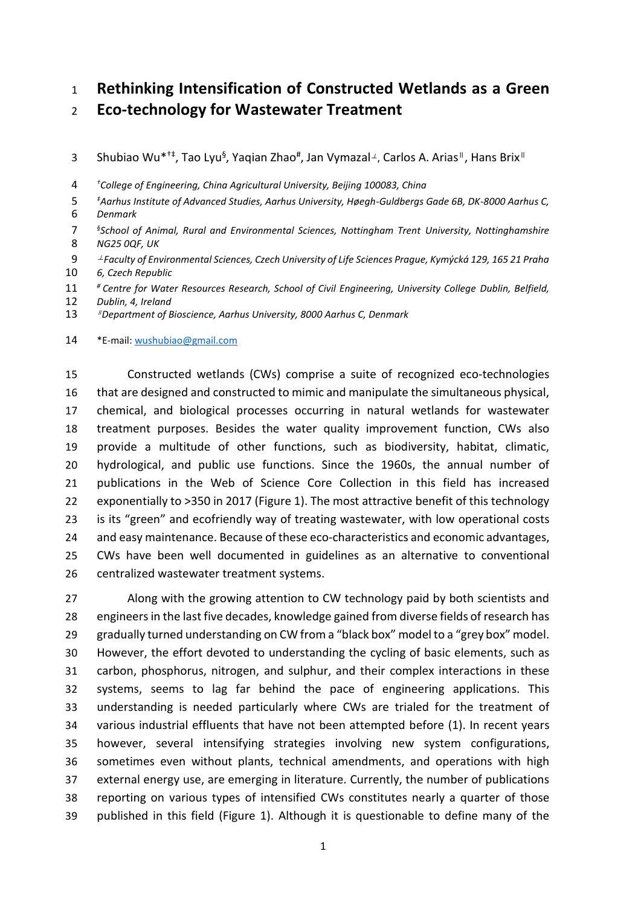# **Rethinking Intensification of Constructed Wetlands as a Green**

**Eco-technology for Wastewater Treatment**

3 Shubiao Wu<sup>\*†‡</sup>, Tao Lyu<sup>§</sup>, Yaqian Zhao<sup>#</sup>, Jan Vymazal<sup>⊥</sup>, Carlos A. Arias<sup>∥</sup>, Hans Brix<sup>∥</sup>

*† College of Engineering, China Agricultural University, Beijing 100083, China*

- *‡ Aarhus Institute of Advanced Studies, Aarhus University, Høegh-Guldbergs Gade 6B, DK-8000 Aarhus C, Denmark*
- *§ School of Animal, Rural and Environmental Sciences, Nottingham Trent University, Nottinghamshire NG25 0QF, UK*
- <sup>⊥</sup>*Faculty of Environmental Sciences, Czech University of Life Sciences Prague, Kymýcká 129, 165 21 Praha 6, Czech Republic*
- *# Centre for Water Resources Research, School of Civil Engineering, University College Dublin, Belfield,*
- *Dublin, 4, Ireland* <sup>∥</sup> *Department of Bioscience, Aarhus University, 8000 Aarhus C, Denmark*

\*E-mail: [wushubiao@gmail.com](mailto:wushubiao@gmail.com)

 Constructed wetlands (CWs) comprise a suite of recognized eco-technologies that are designed and constructed to mimic and manipulate the simultaneous physical, chemical, and biological processes occurring in natural wetlands for wastewater treatment purposes. Besides the water quality improvement function, CWs also provide a multitude of other functions, such as biodiversity, habitat, climatic, hydrological, and public use functions. Since the 1960s, the annual number of publications in the Web of Science Core Collection in this field has increased exponentially to >350 in 2017 (Figure 1). The most attractive benefit of this technology is its "green" and ecofriendly way of treating wastewater, with low operational costs and easy maintenance. Because of these eco-characteristics and economic advantages, CWs have been well documented in guidelines as an alternative to conventional centralized wastewater treatment systems.

 Along with the growing attention to CW technology paid by both scientists and engineers in the last five decades, knowledge gained from diverse fields of research has gradually turned understanding on CW from a "black box" model to a "grey box" model. However, the effort devoted to understanding the cycling of basic elements, such as carbon, phosphorus, nitrogen, and sulphur, and their complex interactions in these systems, seems to lag far behind the pace of engineering applications. This understanding is needed particularly where CWs are trialed for the treatment of various industrial effluents that have not been attempted before (1). In recent years however, several intensifying strategies involving new system configurations, sometimes even without plants, technical amendments, and operations with high external energy use, are emerging in literature. Currently, the number of publications reporting on various types of intensified CWs constitutes nearly a quarter of those published in this field (Figure 1). Although it is questionable to define many of the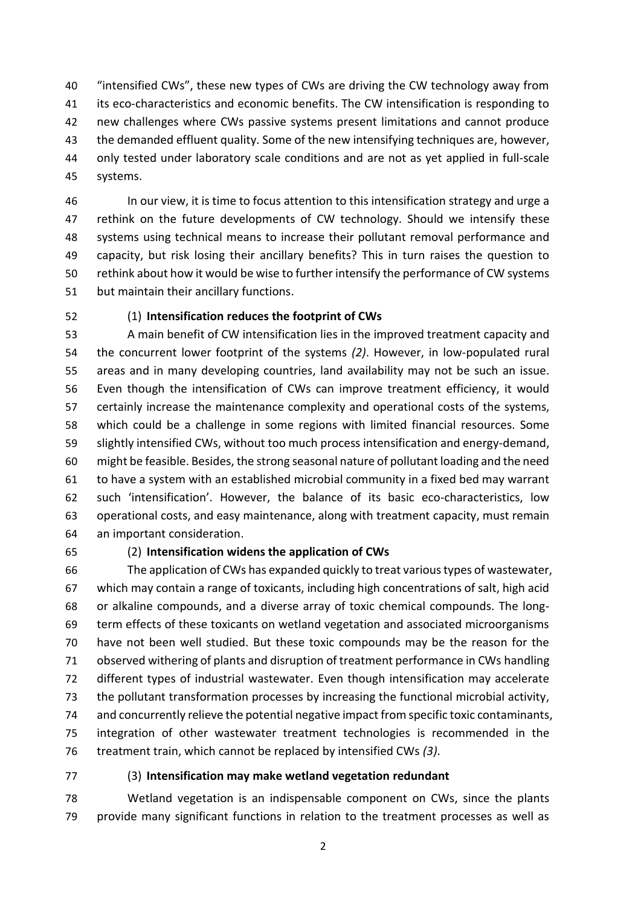"intensified CWs", these new types of CWs are driving the CW technology away from its eco-characteristics and economic benefits. The CW intensification is responding to new challenges where CWs passive systems present limitations and cannot produce the demanded effluent quality. Some of the new intensifying techniques are, however, only tested under laboratory scale conditions and are not as yet applied in full-scale systems.

 In our view, it is time to focus attention to this intensification strategy and urge a rethink on the future developments of CW technology. Should we intensify these systems using technical means to increase their pollutant removal performance and capacity, but risk losing their ancillary benefits? This in turn raises the question to rethink about how it would be wise to further intensify the performance of CW systems but maintain their ancillary functions.

### (1) **Intensification reduces the footprint of CWs**

 A main benefit of CW intensification lies in the improved treatment capacity and the concurrent lower footprint of the systems *(2)*. However, in low-populated rural areas and in many developing countries, land availability may not be such an issue. Even though the intensification of CWs can improve treatment efficiency, it would certainly increase the maintenance complexity and operational costs of the systems, which could be a challenge in some regions with limited financial resources. Some slightly intensified CWs, without too much process intensification and energy-demand, might be feasible. Besides, the strong seasonal nature of pollutant loading and the need to have a system with an established microbial community in a fixed bed may warrant such 'intensification'. However, the balance of its basic eco-characteristics, low operational costs, and easy maintenance, along with treatment capacity, must remain an important consideration.

### (2) **Intensification widens the application of CWs**

 The application of CWs has expanded quickly to treat various types of wastewater, which may contain a range of toxicants, including high concentrations of salt, high acid or alkaline compounds, and a diverse array of toxic chemical compounds. The long- term effects of these toxicants on wetland vegetation and associated microorganisms have not been well studied. But these toxic compounds may be the reason for the observed withering of plants and disruption of treatment performance in CWs handling different types of industrial wastewater. Even though intensification may accelerate the pollutant transformation processes by increasing the functional microbial activity, and concurrently relieve the potential negative impact from specific toxic contaminants, integration of other wastewater treatment technologies is recommended in the treatment train, which cannot be replaced by intensified CWs *(3)*.

### (3) **Intensification may make wetland vegetation redundant**

 Wetland vegetation is an indispensable component on CWs, since the plants provide many significant functions in relation to the treatment processes as well as